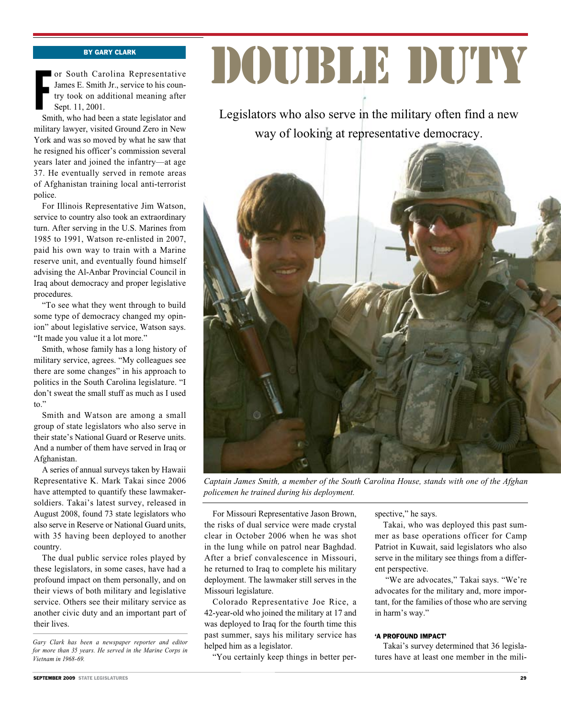## By Gary Clark

or South Carolina Representative<br>James E. Smith Jr., service to his coun-<br>try took on additional meaning after<br>Sept. 11, 2001.<br>Smith, who had been a state legislator and or South Carolina Representative James E. Smith Jr., service to his country took on additional meaning after Sept. 11, 2001.

military lawyer, visited Ground Zero in New York and was so moved by what he saw that he resigned his officer's commission several years later and joined the infantry—at age 37. He eventually served in remote areas of Afghanistan training local anti-terrorist police.

For Illinois Representative Jim Watson, service to country also took an extraordinary turn. After serving in the U.S. Marines from 1985 to 1991, Watson re-enlisted in 2007, paid his own way to train with a Marine reserve unit, and eventually found himself advising the Al-Anbar Provincial Council in Iraq about democracy and proper legislative procedures.

"To see what they went through to build some type of democracy changed my opinion" about legislative service, Watson says. "It made you value it a lot more."

Smith, whose family has a long history of military service, agrees. "My colleagues see there are some changes" in his approach to politics in the South Carolina legislature. "I don't sweat the small stuff as much as I used to."

Smith and Watson are among a small group of state legislators who also serve in their state's National Guard or Reserve units. And a number of them have served in Iraq or Afghanistan.

A series of annual surveys taken by Hawaii Representative K. Mark Takai since 2006 have attempted to quantify these lawmakersoldiers. Takai's latest survey, released in August 2008, found 73 state legislators who also serve in Reserve or National Guard units, with 35 having been deployed to another country.

The dual public service roles played by these legislators, in some cases, have had a profound impact on them personally, and on their views of both military and legislative service. Others see their military service as another civic duty and an important part of their lives.

# DOUBLE DUTY

Legislators who also serve in the military often find a new way of looking at representative democracy.



*Captain James Smith, a member of the South Carolina House, stands with one of the Afghan policemen he trained during his deployment.*

For Missouri Representative Jason Brown, the risks of dual service were made crystal clear in October 2006 when he was shot in the lung while on patrol near Baghdad. After a brief convalescence in Missouri, he returned to Iraq to complete his military deployment. The lawmaker still serves in the Missouri legislature.

Colorado Representative Joe Rice, a 42-year-old who joined the military at 17 and was deployed to Iraq for the fourth time this past summer, says his military service has helped him as a legislator.

"You certainly keep things in better per-

spective," he says.

Takai, who was deployed this past summer as base operations officer for Camp Patriot in Kuwait, said legislators who also serve in the military see things from a different perspective.

 "We are advocates," Takai says. "We're advocates for the military and, more important, for the families of those who are serving in harm's way."

#### 'A PROFOUND IMPACT'

Takai's survey determined that 36 legislatures have at least one member in the mili-

*Gary Clark has been a newspaper reporter and editor for more than 35 years. He served in the Marine Corps in Vietnam in 1968-69.*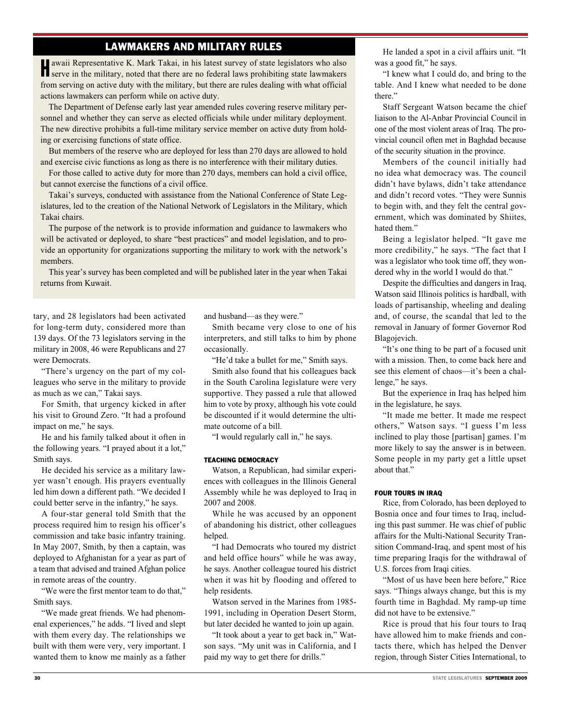# Lawmakers and Military Rules

Hawaii Representative K. Mark Takai, in his latest survey of state legislators who also serve in the military, noted that there are no federal laws prohibiting state lawmakers from serving on active duty with the military, but there are rules dealing with what official actions lawmakers can perform while on active duty.

The Department of Defense early last year amended rules covering reserve military personnel and whether they can serve as elected officials while under military deployment. The new directive prohibits a full-time military service member on active duty from holding or exercising functions of state office.

But members of the reserve who are deployed for less than 270 days are allowed to hold and exercise civic functions as long as there is no interference with their military duties.

For those called to active duty for more than 270 days, members can hold a civil office, but cannot exercise the functions of a civil office.

Takai's surveys, conducted with assistance from the National Conference of State Legislatures, led to the creation of the National Network of Legislators in the Military, which Takai chairs.

The purpose of the network is to provide information and guidance to lawmakers who will be activated or deployed, to share "best practices" and model legislation, and to provide an opportunity for organizations supporting the military to work with the network's members.

This year's survey has been completed and will be published later in the year when Takai returns from Kuwait.

tary, and 28 legislators had been activated for long-term duty, considered more than 139 days. Of the 73 legislators serving in the military in 2008, 46 were Republicans and 27 were Democrats.

"There's urgency on the part of my colleagues who serve in the military to provide as much as we can," Takai says.

For Smith, that urgency kicked in after his visit to Ground Zero. "It had a profound impact on me," he says.

He and his family talked about it often in the following years. "I prayed about it a lot," Smith says.

He decided his service as a military lawyer wasn't enough. His prayers eventually led him down a different path. "We decided I could better serve in the infantry," he says.

A four-star general told Smith that the process required him to resign his officer's commission and take basic infantry training. In May 2007, Smith, by then a captain, was deployed to Afghanistan for a year as part of a team that advised and trained Afghan police in remote areas of the country.

"We were the first mentor team to do that," Smith says.

"We made great friends. We had phenomenal experiences," he adds. "I lived and slept with them every day. The relationships we built with them were very, very important. I wanted them to know me mainly as a father and husband—as they were."

Smith became very close to one of his interpreters, and still talks to him by phone occasionally.

"He'd take a bullet for me," Smith says.

Smith also found that his colleagues back in the South Carolina legislature were very supportive. They passed a rule that allowed him to vote by proxy, although his vote could be discounted if it would determine the ultimate outcome of a bill.

"I would regularly call in," he says.

## TEACHING DEMOCRACY

Watson, a Republican, had similar experiences with colleagues in the Illinois General Assembly while he was deployed to Iraq in 2007 and 2008.

While he was accused by an opponent of abandoning his district, other colleagues helped.

"I had Democrats who toured my district and held office hours" while he was away, he says. Another colleague toured his district when it was hit by flooding and offered to help residents.

Watson served in the Marines from 1985- 1991, including in Operation Desert Storm, but later decided he wanted to join up again.

"It took about a year to get back in," Watson says. "My unit was in California, and I paid my way to get there for drills."

He landed a spot in a civil affairs unit. "It was a good fit," he says.

"I knew what I could do, and bring to the table. And I knew what needed to be done there."

Staff Sergeant Watson became the chief liaison to the Al-Anbar Provincial Council in one of the most violent areas of Iraq. The provincial council often met in Baghdad because of the security situation in the province.

Members of the council initially had no idea what democracy was. The council didn't have bylaws, didn't take attendance and didn't record votes. "They were Sunnis to begin with, and they felt the central government, which was dominated by Shiites, hated them."

Being a legislator helped. "It gave me more credibility," he says. "The fact that I was a legislator who took time off, they wondered why in the world I would do that."

Despite the difficulties and dangers in Iraq, Watson said Illinois politics is hardball, with loads of partisanship, wheeling and dealing and, of course, the scandal that led to the removal in January of former Governor Rod Blagojevich.

"It's one thing to be part of a focused unit with a mission. Then, to come back here and see this element of chaos—it's been a challenge," he says.

But the experience in Iraq has helped him in the legislature, he says.

"It made me better. It made me respect others," Watson says. "I guess I'm less inclined to play those [partisan] games. I'm more likely to say the answer is in between. Some people in my party get a little upset about that"

## FOUR TOURS IN IRAQ

Rice, from Colorado, has been deployed to Bosnia once and four times to Iraq, including this past summer. He was chief of public affairs for the Multi-National Security Transition Command-Iraq, and spent most of his time preparing Iraqis for the withdrawal of U.S. forces from Iraqi cities.

"Most of us have been here before," Rice says. "Things always change, but this is my fourth time in Baghdad. My ramp-up time did not have to be extensive."

Rice is proud that his four tours to Iraq have allowed him to make friends and contacts there, which has helped the Denver region, through Sister Cities International, to